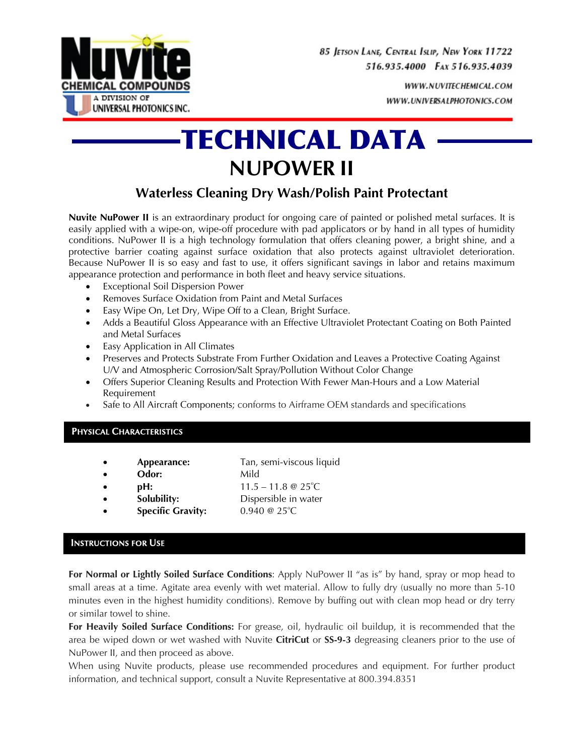

WWW.NUVITECHEMICAL.COM WWW.UNIVERSALPHOTONICS.COM

# **-TECHNICAL DATA -NUPOWER II**

# **Waterless Cleaning Dry Wash/Polish Paint Protectant**

**Nuvite NuPower II** is an extraordinary product for ongoing care of painted or polished metal surfaces. It is easily applied with a wipe-on, wipe-off procedure with pad applicators or by hand in all types of humidity conditions. NuPower II is a high technology formulation that offers cleaning power, a bright shine, and a protective barrier coating against surface oxidation that also protects against ultraviolet deterioration. Because NuPower II is so easy and fast to use, it offers significant savings in labor and retains maximum appearance protection and performance in both fleet and heavy service situations.

- Exceptional Soil Dispersion Power
- Removes Surface Oxidation from Paint and Metal Surfaces
- Easy Wipe On, Let Dry, Wipe Off to a Clean, Bright Surface.
- Adds a Beautiful Gloss Appearance with an Effective Ultraviolet Protectant Coating on Both Painted and Metal Surfaces
- Easy Application in All Climates
- Preserves and Protects Substrate From Further Oxidation and Leaves a Protective Coating Against U/V and Atmospheric Corrosion/Salt Spray/Pollution Without Color Change
- Offers Superior Cleaning Results and Protection With Fewer Man-Hours and a Low Material Requirement
- Safe to All Aircraft Components; conforms to Airframe OEM standards and specifications

### **PHYSICAL CHARACTERISTICS**

- **Appearance:** Tan, semi-viscous liquid
- Odor: Mild
- **pH:**  $11.5 11.8 \& 25^{\circ}$ C
- **Solubility:** Dispersible in water
- **Specific Gravity:**  $0.940 \ @ \ 25^{\circ}C$

# **INSTRUCTIONS FOR USE**

**For Normal or Lightly Soiled Surface Conditions**: Apply NuPower II "as is" by hand, spray or mop head to small areas at a time. Agitate area evenly with wet material. Allow to fully dry (usually no more than 5-10 minutes even in the highest humidity conditions). Remove by buffing out with clean mop head or dry terry or similar towel to shine.

**For Heavily Soiled Surface Conditions:** For grease, oil, hydraulic oil buildup, it is recommended that the area be wiped down or wet washed with Nuvite **CitriCut** or **SS-9-3** degreasing cleaners prior to the use of NuPower II, and then proceed as above.

When using Nuvite products, please use recommended procedures and equipment. For further product information, and technical support, consult a Nuvite Representative at 800.394.8351